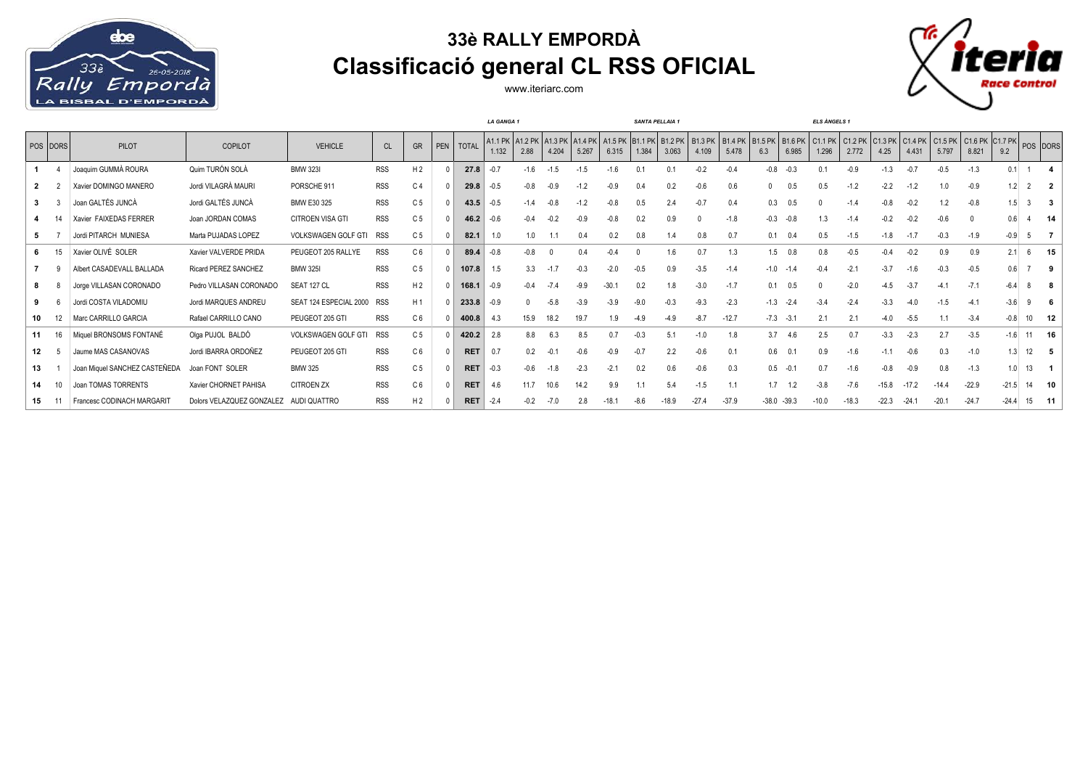

## **33è RALLY EMPORDÀ Classificació general CL RSS OFICIAL**



www.iteriarc.com

|    |          |                               |                           |                        |            |                |     |              | <b>LA GANGA1</b> |                 |                  |                    |                          | <b>SANTA PELLAIA 1</b> |                         |                         |                         | <b>ELS ÀNGELS 1</b>   |                         |                          |                    |                 |                  |                                              |         |         |       |          |
|----|----------|-------------------------------|---------------------------|------------------------|------------|----------------|-----|--------------|------------------|-----------------|------------------|--------------------|--------------------------|------------------------|-------------------------|-------------------------|-------------------------|-----------------------|-------------------------|--------------------------|--------------------|-----------------|------------------|----------------------------------------------|---------|---------|-------|----------|
|    | POS DORS | <b>PILOT</b>                  | <b>COPILOT</b>            | <b>VEHICLE</b>         | <b>CL</b>  | <b>GR</b>      | PEN | <b>TOTAL</b> | A1.1 PK<br>1.132 | A1.2 PK<br>2.88 | A1.3 PK<br>4.204 | $A1.4$ PK<br>5.267 | A1.5 PK B1.1 PK<br>6.315 | 1.384                  | <b>B1.2 PK</b><br>3.063 | <b>B1.3 PK</b><br>4.109 | <b>B1.4 PK</b><br>5.478 | <b>B1.5 PK</b><br>6.3 | <b>B1.6 PK</b><br>6.985 | $\vert$ C1.1 PK<br>1.296 | $C1.2$ PK<br>2.772 | C1.3 PK<br>4.25 | C1.4 PK<br>4.431 | $ $ C1.5 PK $ $ C1.6 PK $ $ C1.7 PK<br>5.797 | 8.821   | 9.2     |       | POS DORS |
|    |          | Joaquim GUMMÀ ROURA           | Quim TURÓN SOLÀ           | <b>BMW 323I</b>        | <b>RSS</b> | H <sub>2</sub> |     | 27.8         |                  | $-1.6$          | $-1.5$           |                    |                          | $\mathbf{0}$           |                         | $-0.2$                  | $-0.4$                  | $-0.8$                | $-0.3$                  |                          | $-0.9$             | $-1.3$          | $-0.7$           | $-0.5$                                       | $-1.3$  | 0.1     |       |          |
|    |          | Xavier DOMINGO MANERO         | Jordi VILAGRÀ MAURI       | PORSCHE 911            | <b>RSS</b> | C <sub>4</sub> |     | 29.8         | $-0.5$           | $-0.8$          | $-0.9$           |                    |                          | 0.4                    |                         | -0.6                    | 0.6                     | <sup>n</sup>          | 0.5                     | 0.5                      | $-1.2$             | $-2.2$          | $-1.2$           | 1.0                                          | $-0.9$  | 1.2     |       |          |
|    |          | Joan GALTÉS JUNCÀ             | Jordi GALTÉS JUNCÀ        | BMW E30 325            | <b>RSS</b> | C <sub>5</sub> |     | 43.5         | $-0.5$           | $-1.4$          | $-0.8$           |                    |                          | 0.5                    |                         | $-0.7$                  | 0.4                     | 0.3                   | 0.5                     |                          |                    |                 | $-0.2$           |                                              | $-0.8$  | 1.5     |       |          |
|    |          | Xavier FAIXEDAS FERRER        | Joan JORDAN COMAS         | CITROEN VISA GTI       | <b>RSS</b> | C <sub>5</sub> |     | 46.2         | -0.6             |                 | $-0.2$           |                    |                          | 0.2                    | 0.9                     |                         | $-1.8$                  | $-0.3$                | $-0.8$                  | 1.3                      |                    |                 | -0.2             |                                              |         | 0.6     |       | -14      |
|    |          | Jordi PITARCH MUNIESA         | Marta PUJADAS LOPEZ       | VOLKSWAGEN GOLF GTI    | <b>RSS</b> | C <sub>5</sub> |     | 82.1         | 1.0              | 1.0             |                  |                    | 0.2                      | 0.8                    |                         | 0.8                     | 0.7                     | 0.1                   | 0.4                     | 0.5                      | $-1.5$             | $-1.8$          | $-1.7$           | $-0.3$                                       | $-1.9$  | $-0.9$  |       |          |
|    |          | Xavier OLIVÉ SOLER            | Xavier VALVERDE PRIDA     | PEUGEOT 205 RALLYE     | <b>RSS</b> | C <sub>6</sub> |     | 89.4         | $-0.8$           | $-0.8$          |                  | 0.4                |                          |                        | 1.6                     | 0.7                     | 1.3                     |                       | $1.5$ 0.8               | 0.8                      | $-0.5$             | $-0.4$          | $-0.2$           | 0.9                                          | 0.9     | 2.1     |       | 15       |
|    |          | Albert CASADEVALL BALLADA     | Ricard PEREZ SANCHEZ      | <b>BMW 325I</b>        | <b>RSS</b> | C <sub>5</sub> |     | 107.8        | 1.5              | 3.3             | $-1.7$           | $-0.3$             | $-2.0$                   | $-0.5$                 | 0.9                     | $-3.5$                  | $-1.4$                  | $-1.0$                | $-1.4$                  | $-0.4$                   | $-2.1$             | $-3.7$          | $-1.6$           | $-0.3$                                       | $-0.5$  | 0.6     |       |          |
|    |          | Jorge VILLASAN CORONADO       | Pedro VILLASAN CORONADO   | SEAT 127 CL            | <b>RSS</b> | H <sub>2</sub> |     | 168.1        | $-0.9$           | $-0.4$          | $-7.4$           | $-9.9$             | $-30.7$                  | 0.2                    |                         | $-3.0$                  | $-1.7$                  | 0.1                   | 0.5                     |                          | $-2.0$             | -45             | $-3.7$           | $-4.1$                                       | $-7.1$  | $-6.4$  |       |          |
|    |          | Jordi COSTA VILADOMIU         | Jordi MARQUES ANDREU      | SEAT 124 ESPECIAL 2000 | <b>RSS</b> | H <sub>1</sub> |     | 233.8        | -0.9             |                 | $-5.8$           | $-3.9$             | $-3.9$                   | $-9.0$                 | $-0.3$                  | $-9.3$                  | $-2.3$                  | $-1.3$                | $-2.4$                  | $-3.4$                   | $-24$              | $-3.3$          | $-4.0$           | $-1.5$                                       | $-4.1$  | $-3.6$  |       |          |
| 10 |          | Marc CARRILLO GARCIA          | Rafael CARRILLO CANO      | PEUGEOT 205 GTI        | <b>RSS</b> | C <sub>6</sub> |     | 400.8        | 4.3              | 15.9            |                  | 19.7               | 1.9                      | $-4.9$                 |                         | $-8.7$                  | $-12.7$                 | $-7.3$                | $-3.1$                  |                          | 2.1                | -4.0            | $-5.5$           | 1.1                                          | $-3.4$  | $-0.8$  | 10    | - 12     |
| 11 | 16       | Miquel BRONSOMS FONTANÉ       | Olga PUJOL BALDÓ          | VOLKSWAGEN GOLF GTI    | <b>RSS</b> | C <sub>5</sub> |     | 420.2        | 2.8              |                 | 6.3              | 8.5                | 0 7                      |                        |                         | $-1.0$                  | 1.8                     | 3.7                   | -4.6                    | 2.5                      | 0.7                | $-3.3$          | $-2.3$           | 2.7                                          | $-3.5$  | $-1.6$  | 11    | - 16     |
| 12 |          | Jaume MAS CASANOVAS           | Jordi IBARRA ORDOÑEZ      | PEUGEOT 205 GTI        | <b>RSS</b> | C <sub>6</sub> |     | <b>RET</b>   | 0.7              | 0.2             |                  |                    |                          |                        | 2.2                     | $-0.6$                  | 0.1                     | 0.6                   | 0.1                     | 0.9                      |                    |                 | $-0.6$           | 0.3                                          | $-1.0$  | 1.3     | 12    | - 5      |
| 13 |          | Joan Miquel SANCHEZ CASTEÑEDA | Joan FONT SOLER           | <b>BMW 325</b>         | <b>RSS</b> | C <sub>5</sub> |     | <b>RET</b>   | $-0.3$           | $-0.6$          | $-1.8$           | $-2.3$             | $-2.1$                   | 0.2                    | 0.6                     | $-0.6$                  | 0.3                     |                       | $0.5 - 0.1$             | 0.7                      |                    |                 | $-0.9$           | 0.8                                          | $-1.3$  | 1.0     | 13    |          |
| 14 | 10       | Joan TOMAS TORRENTS           | Xavier CHORNET PAHISA     | CITROEN ZX             | <b>RSS</b> | C <sub>6</sub> |     | <b>RET</b>   | 4.6              | 11.7            | 10.6             | 14.2               | 9.9                      |                        | 5.4                     | $-1.5$                  | 1.1                     |                       | $1.7$ $1.2$             | $-3.8$                   | $-7.6$             | $-15.8$         | $-17.2$          | $-14.4$                                      | $-22.9$ | $-21.5$ | 14    | 10       |
| 15 |          | Francesc CODINACH MARGARIT    | Dolors VELAZQUEZ GONZALEZ | AUDI QUATTRO           | <b>RSS</b> | H <sub>2</sub> |     | <b>RET</b>   | $-2.4$           | $-0.2$          | $-7.0$           | 2.8                | $-18.1$                  | $-8.6$                 | $-18.9$                 | $-27.4$                 | $-37.9$                 |                       | $-38.0 - 39.3$          | $-10.0$                  | $-18.3$            | $-22.3$         | $-24.1$          | $-20.1$                                      | $-24.7$ | $-24.4$ | 15 11 |          |